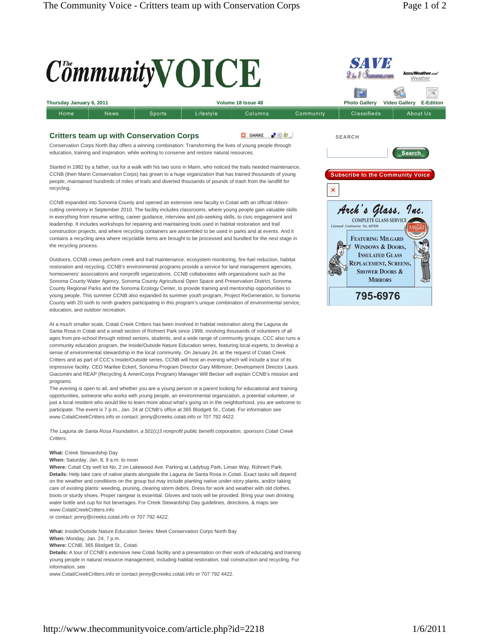

Sonoma County Water Agency, Sonoma County Agricultural Open Space and Preservation District, Sonoma County Regional Parks and the Sonoma Ecology Center, to provide training and mentorship opportunities to young people. This summer CCNB also expanded its summer youth program, Project ReGeneration, to Sonoma County with 20 sixth to ninth graders participating in this program's unique combination of environmental service, education, and outdoor recreation.

At a much smaller scale, Cotati Creek Critters has been involved in habitat restoration along the Laguna de Santa Rosa in Cotati and a small section of Rohnert Park since 1998, involving thousands of volunteers of all ages from pre-school through retired seniors, students, and a wide range of community groups. CCC also runs a community education program, the Inside/Outside Nature Education series, featuring local experts, to develop a sense of environmental stewardship in the local community. On January 24, at the request of Cotati Creek Critters and as part of CCC's Inside/Outside series, CCNB will host an evening which will include a tour of its impressive facility. CEO Marilee Eckert, Sonoma Program Director Gary Miltimore, Development Director Laura Giacomini and REAP (Recycling & AmeriCorps Program) Manager Will Becker will explain CCNB's mission and programs.

The evening is open to all, and whether you are a young person or a parent looking for educational and training opportunities, someone who works with young people, an environmental organization, a potential volunteer, or just a local resident who would like to learn more about what's going on in the neighborhood, you are welcome to participate. The event is 7 p.m., Jan. 24 at CCNB's office at 365 Blodgett St., Cotati. For information see www.CotatiCreekCritters.info or contact: jenny@creeks.cotati.info or 707 792 4422.

*The Laguna de Santa Rosa Foundation, a 501(c)3 nonprofit public benefit corporation, sponsors Cotati Creek Critters.*

## **What:** Creek Stewardship Day

## **When:** Saturday, Jan. 8, 9 a.m. to noon

**Where:** Cotati City well lot No. 2 on Lakewood Ave. Parking at Ladybug Park, Liman Way, Rohnert Park. **Details:** Help take care of native plants alongside the Laguna de Santa Rosa in Cotati. Exact tasks will depend on the weather and conditions on the group but may include planting native under-story plants, and/or taking care of existing plants: weeding, pruning, clearing storm debris. Dress for work and weather with old clothes, boots or sturdy shoes. Proper raingear is essential. Gloves and tools will be provided. Bring your own drinking water bottle and cup for hot beverages. For Creek Stewardship Day guidelines, directions, & maps see www.CotatiCreekCritters.info

or contact: jenny@creeks.cotati.info or 707 792 4422.

**What:** Inside/Outside Nature Education Series: Meet Conservation Corps North Bay **When:** Monday, Jan. 24, 7 p.m.

**Where:** CCNB, 365 Blodgett St., Cotati.

**Details:** A tour of CCNB's extensive new Cotati facility and a presentation on their work of educating and training young people in natural resource management, including habitat restoration, trail construction and recycling. For information, see

www.CotatiCreekCritters.info or contact jenny@creeks.cotati.info or 707 792 4422.